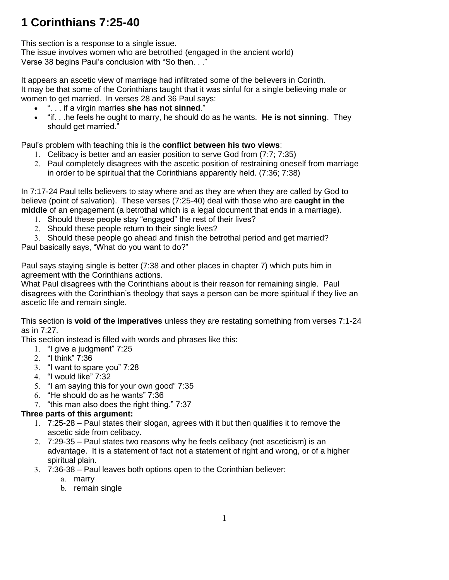# **1 Corinthians 7:25-40**

This section is a response to a single issue.

The issue involves women who are betrothed (engaged in the ancient world) Verse 38 begins Paul's conclusion with "So then. . ."

It appears an ascetic view of marriage had infiltrated some of the believers in Corinth. It may be that some of the Corinthians taught that it was sinful for a single believing male or women to get married. In verses 28 and 36 Paul says:

- ". . . if a virgin marries **she has not sinned**."
- "if. . .he feels he ought to marry, he should do as he wants. **He is not sinning**. They should get married."

Paul's problem with teaching this is the **conflict between his two views**:

- 1. Celibacy is better and an easier position to serve God from (7:7; 7:35)
- 2. Paul completely disagrees with the ascetic position of restraining oneself from marriage in order to be spiritual that the Corinthians apparently held. (7:36; 7:38)

In 7:17-24 Paul tells believers to stay where and as they are when they are called by God to believe (point of salvation). These verses (7:25-40) deal with those who are **caught in the middle** of an engagement (a betrothal which is a legal document that ends in a marriage).

- 1. Should these people stay "engaged" the rest of their lives?
- 2. Should these people return to their single lives?
- 3. Should these people go ahead and finish the betrothal period and get married?

Paul basically says, "What do you want to do?"

Paul says staying single is better (7:38 and other places in chapter 7) which puts him in agreement with the Corinthians actions.

What Paul disagrees with the Corinthians about is their reason for remaining single. Paul disagrees with the Corinthian's theology that says a person can be more spiritual if they live an ascetic life and remain single.

This section is **void of the imperatives** unless they are restating something from verses 7:1-24 as in 7:27.

This section instead is filled with words and phrases like this:

- 1. "I give a judgment" 7:25
- 2. "I think" 7:36
- 3. "I want to spare you" 7:28
- 4. "I would like" 7:32
- 5. "I am saying this for your own good" 7:35
- 6. "He should do as he wants" 7:36
- 7. "this man also does the right thing." 7:37

### **Three parts of this argument:**

- 1. 7:25-28 Paul states their slogan, agrees with it but then qualifies it to remove the ascetic side from celibacy.
- 2. 7:29-35 Paul states two reasons why he feels celibacy (not asceticism) is an advantage. It is a statement of fact not a statement of right and wrong, or of a higher spiritual plain.
- 3. 7:36-38 Paul leaves both options open to the Corinthian believer:
	- a. marry
		- b. remain single